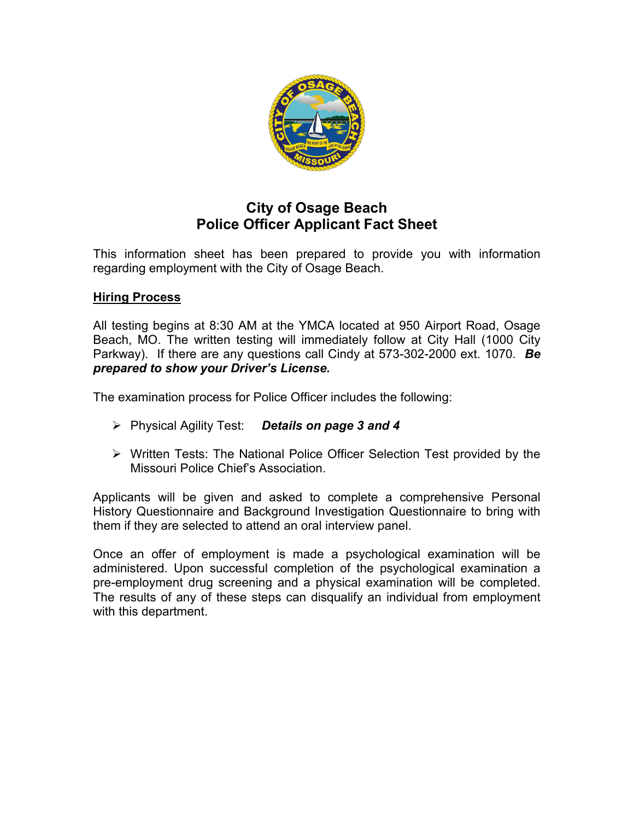

# **City of Osage Beach Police Officer Applicant Fact Sheet**

This information sheet has been prepared to provide you with information regarding employment with the City of Osage Beach.

## **Hiring Process**

All testing begins at 8:30 AM at the YMCA located at 950 Airport Road, Osage Beach, MO. The written testing will immediately follow at City Hall (1000 City Parkway). If there are any questions call Cindy at 573-302-2000 ext. 1070. *Be prepared to show your Driver's License.*

The examination process for Police Officer includes the following:

- Physical Agility Test: *Details on page 3 and 4*
- Written Tests: The National Police Officer Selection Test provided by the Missouri Police Chief's Association.

Applicants will be given and asked to complete a comprehensive Personal History Questionnaire and Background Investigation Questionnaire to bring with them if they are selected to attend an oral interview panel.

Once an offer of employment is made a psychological examination will be administered. Upon successful completion of the psychological examination a pre-employment drug screening and a physical examination will be completed. The results of any of these steps can disqualify an individual from employment with this department.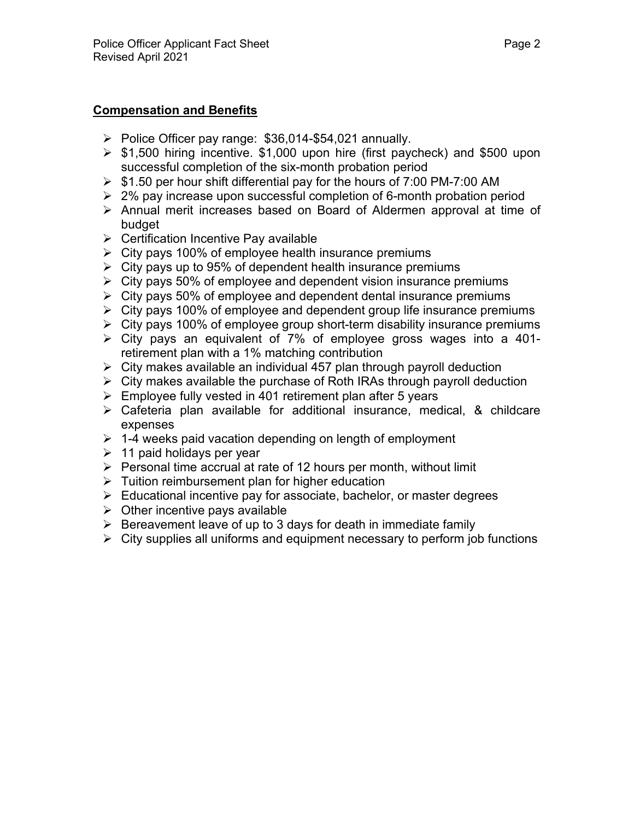## **Compensation and Benefits**

- $\triangleright$  Police Officer pay range: \$36,014-\$54,021 annually.
- $\triangleright$  \$1,500 hiring incentive. \$1,000 upon hire (first paycheck) and \$500 upon successful completion of the six-month probation period
- $\triangleright$  \$1.50 per hour shift differential pay for the hours of 7:00 PM-7:00 AM
- $\geq$  2% pay increase upon successful completion of 6-month probation period
- Annual merit increases based on Board of Aldermen approval at time of budget
- $\triangleright$  Certification Incentive Pay available
- $\triangleright$  City pays 100% of employee health insurance premiums
- $\triangleright$  City pays up to 95% of dependent health insurance premiums
- $\triangleright$  City pays 50% of employee and dependent vision insurance premiums
- $\triangleright$  City pays 50% of employee and dependent dental insurance premiums
- $\triangleright$  City pays 100% of employee and dependent group life insurance premiums
- $\triangleright$  City pays 100% of employee group short-term disability insurance premiums
- City pays an equivalent of 7% of employee gross wages into a 401 retirement plan with a 1% matching contribution
- $\triangleright$  City makes available an individual 457 plan through payroll deduction
- $\triangleright$  City makes available the purchase of Roth IRAs through payroll deduction
- $\triangleright$  Employee fully vested in 401 retirement plan after 5 years
- $\triangleright$  Cafeteria plan available for additional insurance, medical, & childcare expenses
- $\geq 1$ -4 weeks paid vacation depending on length of employment
- $\geq 11$  paid holidays per year
- $\triangleright$  Personal time accrual at rate of 12 hours per month, without limit
- $\triangleright$  Tuition reimbursement plan for higher education
- $\triangleright$  Educational incentive pay for associate, bachelor, or master degrees
- $\triangleright$  Other incentive pays available
- $\triangleright$  Bereavement leave of up to 3 days for death in immediate family
- $\triangleright$  City supplies all uniforms and equipment necessary to perform job functions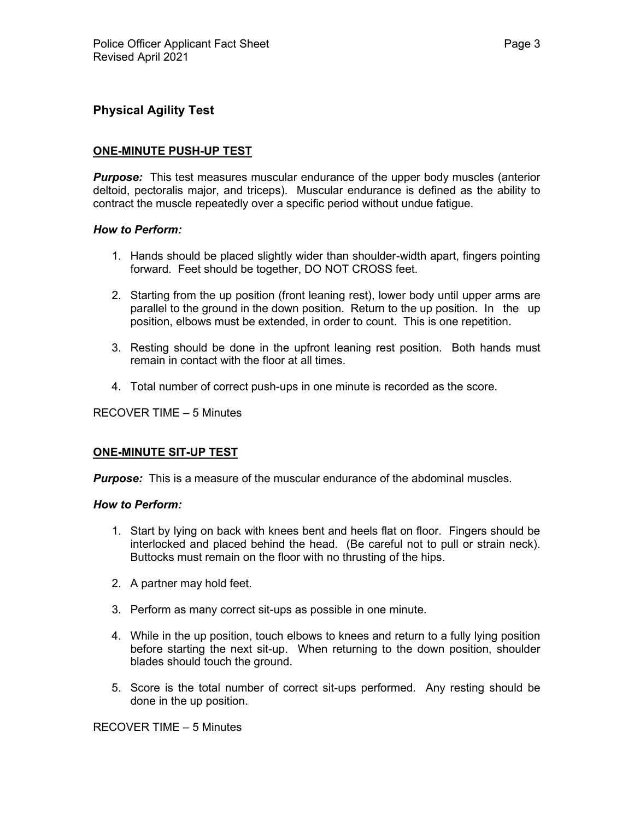## **Physical Agility Test**

## **ONE-MINUTE PUSH-UP TEST**

*Purpose:* This test measures muscular endurance of the upper body muscles (anterior deltoid, pectoralis major, and triceps). Muscular endurance is defined as the ability to contract the muscle repeatedly over a specific period without undue fatigue.

#### *How to Perform:*

- 1. Hands should be placed slightly wider than shoulder-width apart, fingers pointing forward. Feet should be together, DO NOT CROSS feet.
- 2. Starting from the up position (front leaning rest), lower body until upper arms are parallel to the ground in the down position. Return to the up position. In the up position, elbows must be extended, in order to count. This is one repetition.
- 3. Resting should be done in the upfront leaning rest position. Both hands must remain in contact with the floor at all times.
- 4. Total number of correct push-ups in one minute is recorded as the score.

RECOVER TIME – 5 Minutes

### **ONE-MINUTE SIT-UP TEST**

*Purpose:* This is a measure of the muscular endurance of the abdominal muscles.

#### *How to Perform:*

- 1. Start by lying on back with knees bent and heels flat on floor. Fingers should be interlocked and placed behind the head. (Be careful not to pull or strain neck). Buttocks must remain on the floor with no thrusting of the hips.
- 2. A partner may hold feet.
- 3. Perform as many correct sit-ups as possible in one minute.
- 4. While in the up position, touch elbows to knees and return to a fully lying position before starting the next sit-up. When returning to the down position, shoulder blades should touch the ground.
- 5. Score is the total number of correct sit-ups performed. Any resting should be done in the up position.

RECOVER TIME – 5 Minutes